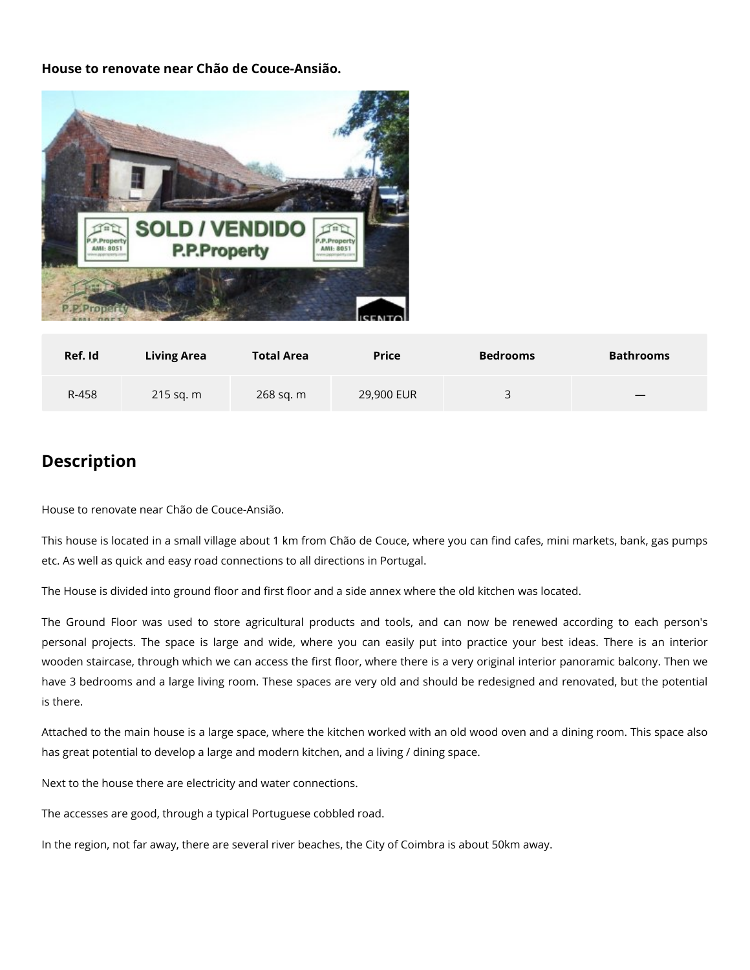**House to renovate near Chão de Couce-Ansião.**



| Ref. Id | <b>Living Area</b> | <b>Total Area</b> | <b>Price</b> | <b>Bedrooms</b> | <b>Bathrooms</b> |
|---------|--------------------|-------------------|--------------|-----------------|------------------|
| R-458   | $215$ sq. m        | 268 sq. m         | 29,900 EUR   | っ<br>ັ          |                  |

## **Description**

House to renovate near Chão de Couce-Ansião.

This house is located in a small village about 1 km from Chão de Couce, where you can find cafes, mini markets, bank, gas pumps etc. As well as quick and easy road connections to all directions in Portugal.

The House is divided into ground floor and first floor and a side annex where the old kitchen was located.

The Ground Floor was used to store agricultural products and tools, and can now be renewed according to each person's personal projects. The space is large and wide, where you can easily put into practice your best ideas. There is an interior wooden staircase, through which we can access the first floor, where there is a very original interior panoramic balcony. Then we have 3 bedrooms and a large living room. These spaces are very old and should be redesigned and renovated, but the potential is there.

Attached to the main house is a large space, where the kitchen worked with an old wood oven and a dining room. This space also has great potential to develop a large and modern kitchen, and a living / dining space.

Next to the house there are electricity and water connections.

The accesses are good, through a typical Portuguese cobbled road.

In the region, not far away, there are several river beaches, the City of Coimbra is about 50km away.